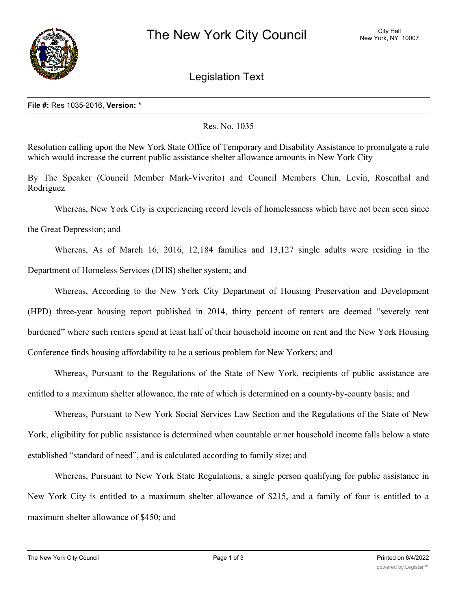

Legislation Text

## **File #:** Res 1035-2016, **Version:** \*

## Res. No. 1035

Resolution calling upon the New York State Office of Temporary and Disability Assistance to promulgate a rule which would increase the current public assistance shelter allowance amounts in New York City

By The Speaker (Council Member Mark-Viverito) and Council Members Chin, Levin, Rosenthal and Rodriguez

Whereas, New York City is experiencing record levels of homelessness which have not been seen since

the Great Depression; and

Whereas, As of March 16, 2016, 12,184 families and 13,127 single adults were residing in the Department of Homeless Services (DHS) shelter system; and

Whereas, According to the New York City Department of Housing Preservation and Development (HPD) three-year housing report published in 2014, thirty percent of renters are deemed "severely rent burdened" where such renters spend at least half of their household income on rent and the New York Housing Conference finds housing affordability to be a serious problem for New Yorkers; and

Whereas, Pursuant to the Regulations of the State of New York, recipients of public assistance are entitled to a maximum shelter allowance, the rate of which is determined on a county-by-county basis; and

Whereas, Pursuant to New York Social Services Law Section and the Regulations of the State of New York, eligibility for public assistance is determined when countable or net household income falls below a state established "standard of need", and is calculated according to family size; and

Whereas, Pursuant to New York State Regulations, a single person qualifying for public assistance in New York City is entitled to a maximum shelter allowance of \$215, and a family of four is entitled to a maximum shelter allowance of \$450; and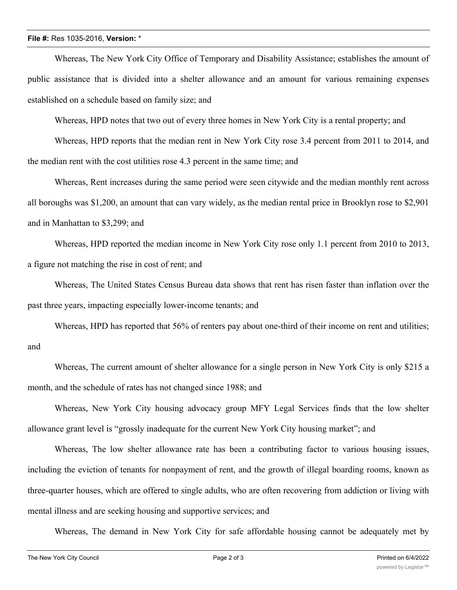## **File #:** Res 1035-2016, **Version:** \*

Whereas, The New York City Office of Temporary and Disability Assistance; establishes the amount of public assistance that is divided into a shelter allowance and an amount for various remaining expenses established on a schedule based on family size; and

Whereas, HPD notes that two out of every three homes in New York City is a rental property; and

Whereas, HPD reports that the median rent in New York City rose 3.4 percent from 2011 to 2014, and the median rent with the cost utilities rose 4.3 percent in the same time; and

Whereas, Rent increases during the same period were seen citywide and the median monthly rent across all boroughs was \$1,200, an amount that can vary widely, as the median rental price in Brooklyn rose to \$2,901 and in Manhattan to \$3,299; and

Whereas, HPD reported the median income in New York City rose only 1.1 percent from 2010 to 2013, a figure not matching the rise in cost of rent; and

Whereas, The United States Census Bureau data shows that rent has risen faster than inflation over the past three years, impacting especially lower-income tenants; and

Whereas, HPD has reported that 56% of renters pay about one-third of their income on rent and utilities; and

Whereas, The current amount of shelter allowance for a single person in New York City is only \$215 a month, and the schedule of rates has not changed since 1988; and

Whereas, New York City housing advocacy group MFY Legal Services finds that the low shelter allowance grant level is "grossly inadequate for the current New York City housing market"; and

Whereas, The low shelter allowance rate has been a contributing factor to various housing issues, including the eviction of tenants for nonpayment of rent, and the growth of illegal boarding rooms, known as three-quarter houses, which are offered to single adults, who are often recovering from addiction or living with mental illness and are seeking housing and supportive services; and

Whereas, The demand in New York City for safe affordable housing cannot be adequately met by